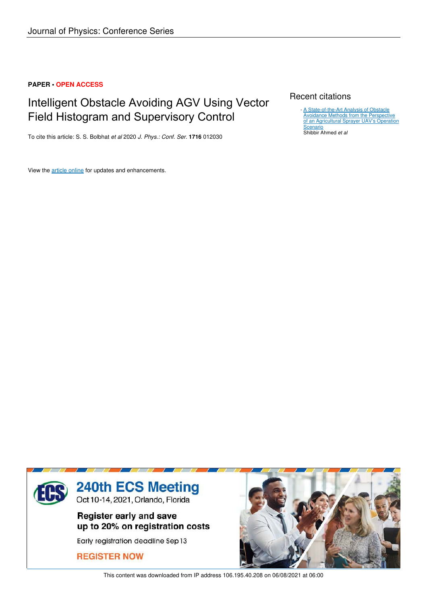## **PAPER • OPEN ACCESS**

## Intelligent Obstacle Avoiding AGV Using Vector Field Histogram and Supervisory Control

To cite this article: S. S. Bolbhat *et al* 2020 *J. Phys.: Conf. Ser.* **1716** 012030

View the article online for updates and enhancements.

## Recent citations

A State-of-the-Art Analysis of Obstacle Avoidance Methods from the Perspective of an Agricultural Sprayer UAV's Operation **Scenario** Shibbir Ahmed *et al* -



This content was downloaded from IP address 106.195.40.208 on 06/08/2021 at 06:00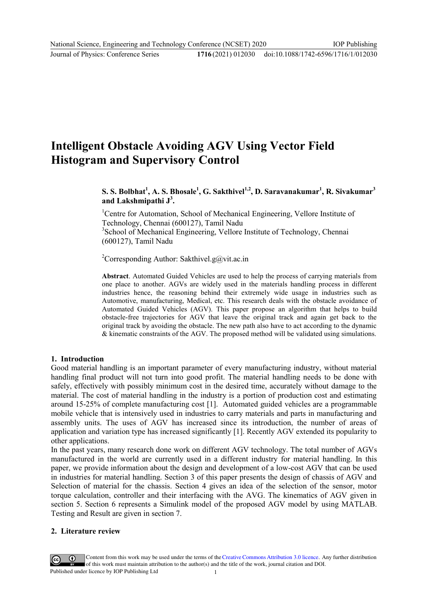## 1716(2021) 012030 doi:10.1088/1742-6596/1716/1/012030

# **Intelligent Obstacle Avoiding AGV Using Vector Field Histogram and Supervisory Control**

**S. S. Bolbhat<sup>1</sup> , A. S. Bhosale<sup>1</sup> , G. Sakthivel1,2, D. Saravanakumar<sup>1</sup> , R. Sivakumar<sup>3</sup> and Lakshmipathi J<sup>3</sup> .** 

<sup>1</sup>Centre for Automation, School of Mechanical Engineering, Vellore Institute of Technology, Chennai (600127), Tamil Nadu <sup>3</sup>School of Mechanical Engineering, Vellore Institute of Technology, Chennai (600127), Tamil Nadu

<sup>2</sup>Corresponding Author: Sakthivel.g@vit.ac.in

**Abstract**. Automated Guided Vehicles are used to help the process of carrying materials from one place to another. AGVs are widely used in the materials handling process in different industries hence, the reasoning behind their extremely wide usage in industries such as Automotive, manufacturing, Medical, etc. This research deals with the obstacle avoidance of Automated Guided Vehicles (AGV). This paper propose an algorithm that helps to build obstacle-free trajectories for AGV that leave the original track and again get back to the original track by avoiding the obstacle. The new path also have to act according to the dynamic & kinematic constraints of the AGV. The proposed method will be validated using simulations.

## **1. Introduction**

Good material handling is an important parameter of every manufacturing industry, without material handling final product will not turn into good profit. The material handling needs to be done with safely, effectively with possibly minimum cost in the desired time, accurately without damage to the material. The cost of material handling in the industry is a portion of production cost and estimating around 15-25% of complete manufacturing cost [1]. Automated guided vehicles are a programmable mobile vehicle that is intensively used in industries to carry materials and parts in manufacturing and assembly units. The uses of AGV has increased since its introduction, the number of areas of application and variation type has increased significantly [1]. Recently AGV extended its popularity to other applications.

In the past years, many research done work on different AGV technology. The total number of AGVs manufactured in the world are currently used in a different industry for material handling. In this paper, we provide information about the design and development of a low-cost AGV that can be used in industries for material handling. Section 3 of this paper presents the design of chassis of AGV and Selection of material for the chassis. Section 4 gives an idea of the selection of the sensor, motor torque calculation, controller and their interfacing with the AVG. The kinematics of AGV given in section 5. Section 6 represents a Simulink model of the proposed AGV model by using MATLAB. Testing and Result are given in section 7.

#### **2. Literature review**

Content from this work may be used under the terms of the Creative Commons Attribution 3.0 licence. Any further distribution of this work must maintain attribution to the author(s) and the title of the work, journal citation and DOI. Published under licence by IOP Publishing Ltd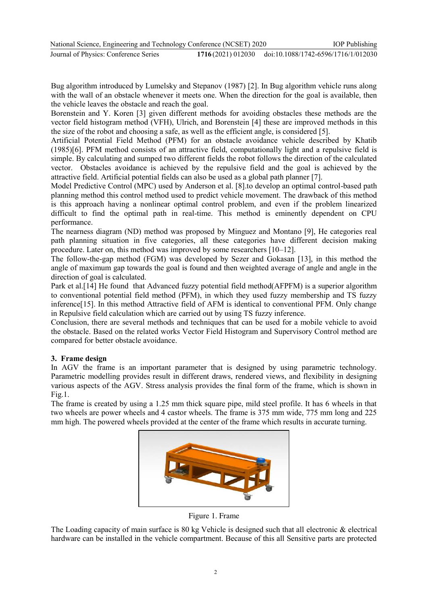Bug algorithm introduced by Lumelsky and Stepanov (1987) [2]. In Bug algorithm vehicle runs along with the wall of an obstacle whenever it meets one. When the direction for the goal is available, then the vehicle leaves the obstacle and reach the goal.

Borenstein and Y. Koren [3] given different methods for avoiding obstacles these methods are the vector field histogram method (VFH), Ulrich, and Borenstein [4] these are improved methods in this the size of the robot and choosing a safe, as well as the efficient angle, is considered [5].

Artificial Potential Field Method (PFM) for an obstacle avoidance vehicle described by Khatib (1985)[6]. PFM method consists of an attractive field, computationally light and a repulsive field is simple. By calculating and sumped two different fields the robot follows the direction of the calculated vector. Obstacles avoidance is achieved by the repulsive field and the goal is achieved by the attractive field. Artificial potential fields can also be used as a global path planner [7].

Model Predictive Control (MPC) used by Anderson et al. [8].to develop an optimal control-based path planning method this control method used to predict vehicle movement. The drawback of this method is this approach having a nonlinear optimal control problem, and even if the problem linearized difficult to find the optimal path in real-time. This method is eminently dependent on CPU performance.

The nearness diagram (ND) method was proposed by Minguez and Montano [9], He categories real path planning situation in five categories, all these categories have different decision making procedure. Later on, this method was improved by some researchers [10–12].

The follow-the-gap method (FGM) was developed by Sezer and Gokasan [13], in this method the angle of maximum gap towards the goal is found and then weighted average of angle and angle in the direction of goal is calculated.

Park et al.[14] He found that Advanced fuzzy potential field method(AFPFM) is a superior algorithm to conventional potential field method (PFM), in which they used fuzzy membership and TS fuzzy inference[15]. In this method Attractive field of AFM is identical to conventional PFM. Only change in Repulsive field calculation which are carried out by using TS fuzzy inference.

Conclusion, there are several methods and techniques that can be used for a mobile vehicle to avoid the obstacle. Based on the related works Vector Field Histogram and Supervisory Control method are compared for better obstacle avoidance.

## **3. Frame design**

In AGV the frame is an important parameter that is designed by using parametric technology. Parametric modelling provides result in different draws, rendered views, and flexibility in designing various aspects of the AGV. Stress analysis provides the final form of the frame, which is shown in Fig.1.

The frame is created by using a 1.25 mm thick square pipe, mild steel profile. It has 6 wheels in that two wheels are power wheels and 4 castor wheels. The frame is 375 mm wide, 775 mm long and 225 mm high. The powered wheels provided at the center of the frame which results in accurate turning.



Figure 1. Frame

The Loading capacity of main surface is 80 kg Vehicle is designed such that all electronic & electrical hardware can be installed in the vehicle compartment. Because of this all Sensitive parts are protected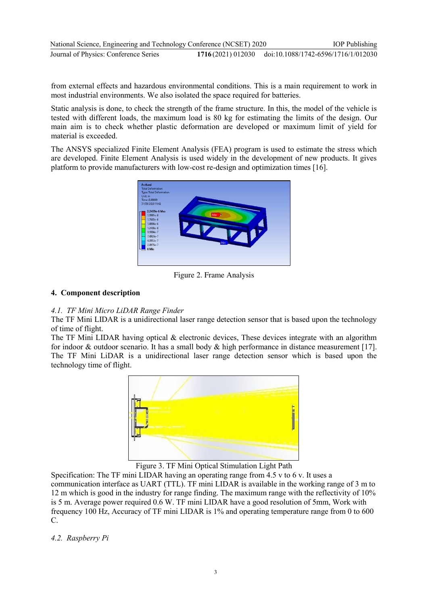| National Science, Engineering and Technology Conference (NCSET) 2020 | <b>IOP</b> Publishing                                 |
|----------------------------------------------------------------------|-------------------------------------------------------|
| Journal of Physics: Conference Series                                | 1716(2021) 012030 doi:10.1088/1742-6596/1716/1/012030 |

from external effects and hazardous environmental conditions. This is a main requirement to work in most industrial environments. We also isolated the space required for batteries.

Static analysis is done, to check the strength of the frame structure. In this, the model of the vehicle is tested with different loads, the maximum load is 80 kg for estimating the limits of the design. Our main aim is to check whether plastic deformation are developed or maximum limit of yield for material is exceeded.

The ANSYS specialized Finite Element Analysis (FEA) program is used to estimate the stress which are developed. Finite Element Analysis is used widely in the development of new products. It gives platform to provide manufacturers with low-cost re-design and optimization times [16].



Figure 2. Frame Analysis

## **4. Component description**

## *4.1. TF Mini Micro LiDAR Range Finder*

The TF Mini LIDAR is a unidirectional laser range detection sensor that is based upon the technology of time of flight.

The TF Mini LIDAR having optical & electronic devices, These devices integrate with an algorithm for indoor & outdoor scenario. It has a small body & high performance in distance measurement [17]. The TF Mini LiDAR is a unidirectional laser range detection sensor which is based upon the technology time of flight.



Figure 3. TF Mini Optical Stimulation Light Path

Specification: The TF mini LIDAR having an operating range from 4.5 v to 6 v. It uses a communication interface as UART (TTL). TF mini LIDAR is available in the working range of 3 m to 12 m which is good in the industry for range finding. The maximum range with the reflectivity of 10% is 5 m. Average power required 0.6 W. TF mini LIDAR have a good resolution of 5mm, Work with frequency 100 Hz, Accuracy of TF mini LIDAR is 1% and operating temperature range from 0 to 600 C.

## *4.2. Raspberry Pi*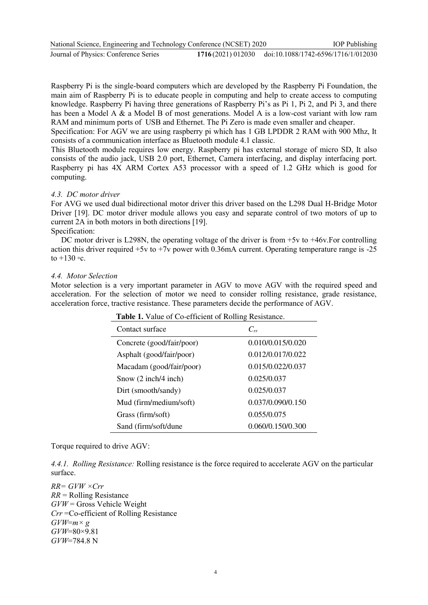| National Science, Engineering and Technology Conference (NCSET) 2020 |                                                       | <b>IOP</b> Publishing |
|----------------------------------------------------------------------|-------------------------------------------------------|-----------------------|
| Journal of Physics: Conference Series                                | 1716(2021) 012030 doi:10.1088/1742-6596/1716/1/012030 |                       |

Raspberry Pi is the single-board computers which are developed by the Raspberry Pi Foundation, the main aim of Raspberry Pi is to educate people in computing and help to create access to computing knowledge. Raspberry Pi having three generations of Raspberry Pi's as Pi 1, Pi 2, and Pi 3, and there has been a Model A & a Model B of most generations. Model A is a low-cost variant with low ram RAM and minimum ports of USB and Ethernet. The Pi Zero is made even smaller and cheaper.

Specification: For AGV we are using raspberry pi which has 1 GB LPDDR 2 RAM with 900 Mhz, It consists of a communication interface as Bluetooth module 4.1 classic.

This Bluetooth module requires low energy. Raspberry pi has external storage of micro SD, It also consists of the audio jack, USB 2.0 port, Ethernet, Camera interfacing, and display interfacing port. Raspberry pi has 4X ARM Cortex A53 processor with a speed of 1.2 GHz which is good for computing.

#### *4.3. DC motor driver*

For AVG we used dual bidirectional motor driver this driver based on the L298 Dual H-Bridge Motor Driver [19]. DC motor driver module allows you easy and separate control of two motors of up to current 2A in both motors in both directions [19].

Specification:

DC motor driver is L298N, the operating voltage of the driver is from  $+5v$  to  $+46v$ . For controlling action this driver required +5v to +7v power with 0.36mA current. Operating temperature range is -25 to  $+130$  ∘c.

#### *4.4. Motor Selection*

Motor selection is a very important parameter in AGV to move AGV with the required speed and acceleration. For the selection of motor we need to consider rolling resistance, grade resistance, acceleration force, tractive resistance. These parameters decide the performance of AGV.

| <b>Table 1.</b> Talue of Go Chrotent of Roming Resistance. |                   |  |  |
|------------------------------------------------------------|-------------------|--|--|
| Contact surface                                            | $C_{rr}$          |  |  |
| Concrete (good/fair/poor)                                  | 0.010/0.015/0.020 |  |  |
| Asphalt (good/fair/poor)                                   | 0.012/0.017/0.022 |  |  |
| Macadam (good/fair/poor)                                   | 0.015/0.022/0.037 |  |  |
| Snow $(2 \text{ inch}/4 \text{ inch})$                     | 0.025/0.037       |  |  |
| Dirt (smooth/sandy)                                        | 0.025/0.037       |  |  |
| Mud (firm/medium/soft)                                     | 0.037/0.090/0.150 |  |  |
| Grass (firm/soft)                                          | 0.055/0.075       |  |  |
| Sand (firm/soft/dune)                                      | 0.060/0.150/0.300 |  |  |

 **Table 1.** Value of Co-efficient of Rolling Resistance.

Torque required to drive AGV:

*4.4.1. Rolling Resistance:* Rolling resistance is the force required to accelerate AGV on the particular surface.

*RR= GVW ×Crr RR* = Rolling Resistance *GVW* = Gross Vehicle Weight *Crr* =Co-efficient of Rolling Resistance  $GVW=m\times g$ *GVW*=80×9.81 *GVW*=784.8 N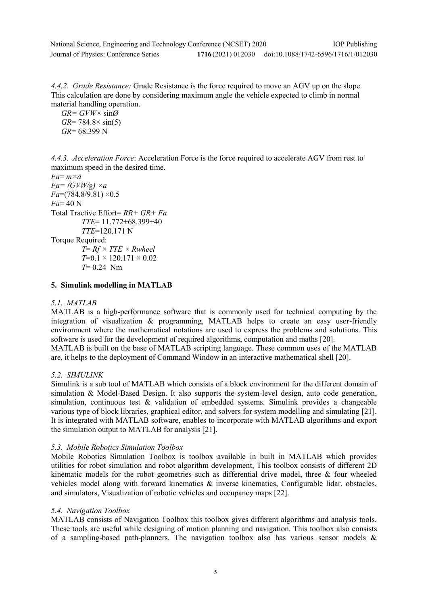*4.4.2. Grade Resistance:* Grade Resistance is the force required to move an AGV up on the slope. This calculation are done by considering maximum angle the vehicle expected to climb in normal material handling operation.

 $GR = GVW \times \sin\varnothing$ *GR*= 784.8× sin(5) *GR*= 68.399 N

*4.4.3. Acceleration Force*: Acceleration Force is the force required to accelerate AGV from rest to maximum speed in the desired time.

```
Fa= m×a
Fa = (GVW/g) \times aFa=(784.8/9.81) ×0.5 
Fa= 40 N 
Total Tractive Effort= RR+ GR+ Fa
         TTE= 11.772+68.399+40 
         TTE=120.171 N 
Torque Required: 
         T= Rf × TTE × Rwheel
         T=0.1 × 120.171 × 0.02 
         T= 0.24 Nm
```
**5. Simulink modelling in MATLAB** 

### *5.1. MATLAB*

MATLAB is a high-performance software that is commonly used for technical computing by the integration of visualization & programming, MATLAB helps to create an easy user-friendly environment where the mathematical notations are used to express the problems and solutions. This software is used for the development of required algorithms, computation and maths [20].

MATLAB is built on the base of MATLAB scripting language. These common uses of the MATLAB are, it helps to the deployment of Command Window in an interactive mathematical shell [20].

### *5.2. SIMULINK*

Simulink is a sub tool of MATLAB which consists of a block environment for the different domain of simulation & Model-Based Design. It also supports the system-level design, auto code generation, simulation, continuous test & validation of embedded systems. Simulink provides a changeable various type of block libraries, graphical editor, and solvers for system modelling and simulating [21]. It is integrated with MATLAB software, enables to incorporate with MATLAB algorithms and export the simulation output to MATLAB for analysis [21].

#### *5.3. Mobile Robotics Simulation Toolbox*

Mobile Robotics Simulation Toolbox is toolbox available in built in MATLAB which provides utilities for robot simulation and robot algorithm development, This toolbox consists of different 2D kinematic models for the robot geometries such as differential drive model, three & four wheeled vehicles model along with forward kinematics & inverse kinematics, Configurable lidar, obstacles, and simulators, Visualization of robotic vehicles and occupancy maps [22].

#### *5.4. Navigation Toolbox*

MATLAB consists of Navigation Toolbox this toolbox gives different algorithms and analysis tools. These tools are useful while designing of motion planning and navigation. This toolbox also consists of a sampling-based path-planners. The navigation toolbox also has various sensor models &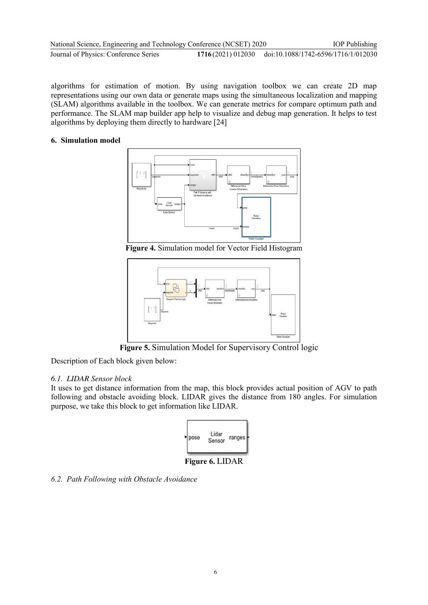| National Science, Engineering and Technology Conference (NCSET) 2020 |                                                       | <b>IOP</b> Publishing |
|----------------------------------------------------------------------|-------------------------------------------------------|-----------------------|
| Journal of Physics: Conference Series                                | 1716(2021) 012030 doi:10.1088/1742-6596/1716/1/012030 |                       |

algorithms for estimation of motion. By using navigation toolbox we can create 2D map representations using our own data or generate maps using the simultaneous localization and mapping (SLAM) algorithms available in the toolbox. We can generate metrics for compare optimum path and performance. The SLAM map builder app help to visualize and debug map generation. It helps to test algorithms by deploying them directly to hardware [24]

## **6. Simulation model**



**Figure 4.** Simulation model for Vector Field Histogram



**Figure 5.** Simulation Model for Supervisory Control logic

Description of Each block given below:

## *6.1. LIDAR Sensor block*

It uses to get distance information from the map, this block provides actual position of AGV to path following and obstacle avoiding block. LIDAR gives the distance from 180 angles. For simulation purpose, we take this block to get information like LIDAR.



**Figure 6.** LIDAR

*6.2. Path Following with Obstacle Avoidance*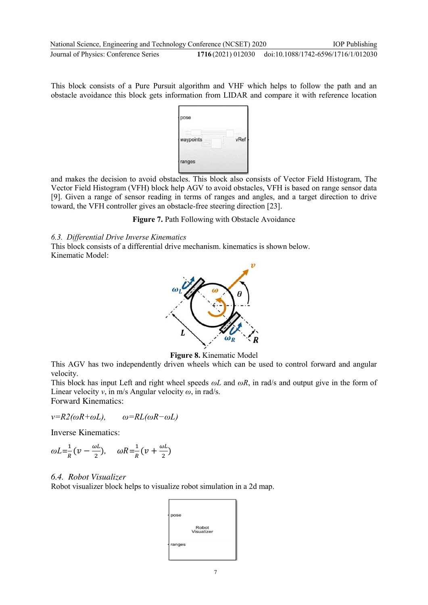This block consists of a Pure Pursuit algorithm and VHF which helps to follow the path and an obstacle avoidance this block gets information from LIDAR and compare it with reference location



and makes the decision to avoid obstacles. This block also consists of Vector Field Histogram, The Vector Field Histogram (VFH) block help AGV to avoid obstacles, VFH is based on range sensor data [9]. Given a range of sensor reading in terms of ranges and angles, and a target direction to drive toward, the VFH controller gives an obstacle-free steering direction [23].

Figure 7. Path Following with Obstacle Avoidance

## *6.3. Differential Drive Inverse Kinematics*

This block consists of a differential drive mechanism. kinematics is shown below. Kinematic Model:



**Figure 8.** Kinematic Model

This AGV has two independently driven wheels which can be used to control forward and angular velocity.

This block has input Left and right wheel speeds *ωL* and *ωR*, in rad/s and output give in the form of Linear velocity *v*, in m/s Angular velocity *ω*, in rad/s. Forward Kinematics:

$$
v=R2(\omega R+\omega L), \qquad \omega=R L(\omega R-\omega L)
$$

Inverse Kinematics:

$$
\omega L = \frac{1}{R} \left( \nu - \frac{\omega L}{2} \right), \quad \omega R = \frac{1}{R} \left( \nu + \frac{\omega L}{2} \right)
$$

## *6.4. Robot Visualizer*

Robot visualizer block helps to visualize robot simulation in a 2d map.

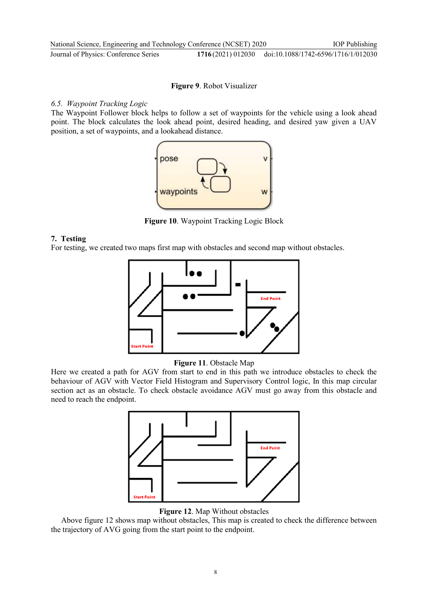## **Figure 9**. Robot Visualizer

## *6.5. Waypoint Tracking Logic*

The Waypoint Follower block helps to follow a set of waypoints for the vehicle using a look ahead point. The block calculates the look ahead point, desired heading, and desired yaw given a UAV position, a set of waypoints, and a lookahead distance.



**Figure 10**. Waypoint Tracking Logic Block

## **7. Testing**

For testing, we created two maps first map with obstacles and second map without obstacles.





Here we created a path for AGV from start to end in this path we introduce obstacles to check the behaviour of AGV with Vector Field Histogram and Supervisory Control logic, In this map circular section act as an obstacle. To check obstacle avoidance AGV must go away from this obstacle and need to reach the endpoint.



**Figure 12**. Map Without obstacles

Above figure 12 shows map without obstacles, This map is created to check the difference between the trajectory of AVG going from the start point to the endpoint.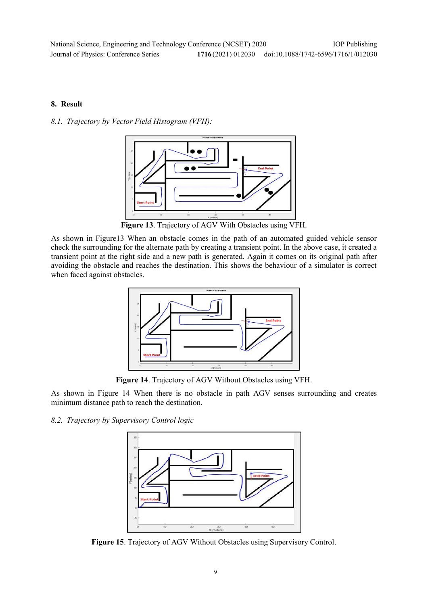## **8. Result**

*8.1. Trajectory by Vector Field Histogram (VFH):* 



**Figure 13**. Trajectory of AGV With Obstacles using VFH.

As shown in Figure13 When an obstacle comes in the path of an automated guided vehicle sensor check the surrounding for the alternate path by creating a transient point. In the above case, it created a transient point at the right side and a new path is generated. Again it comes on its original path after avoiding the obstacle and reaches the destination. This shows the behaviour of a simulator is correct when faced against obstacles.



**Figure 14**. Trajectory of AGV Without Obstacles using VFH.

As shown in Figure 14 When there is no obstacle in path AGV senses surrounding and creates minimum distance path to reach the destination.

## *8.2. Trajectory by Supervisory Control logic*



**Figure 15**. Trajectory of AGV Without Obstacles using Supervisory Control.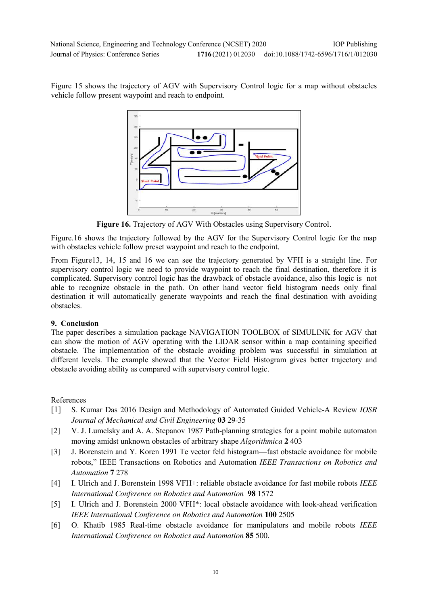Figure 15 shows the trajectory of AGV with Supervisory Control logic for a map without obstacles vehicle follow present waypoint and reach to endpoint.



**Figure 16.** Trajectory of AGV With Obstacles using Supervisory Control.

Figure.16 shows the trajectory followed by the AGV for the Supervisory Control logic for the map with obstacles vehicle follow preset waypoint and reach to the endpoint.

From Figure13, 14, 15 and 16 we can see the trajectory generated by VFH is a straight line. For supervisory control logic we need to provide waypoint to reach the final destination, therefore it is complicated. Supervisory control logic has the drawback of obstacle avoidance, also this logic is not able to recognize obstacle in the path. On other hand vector field histogram needs only final destination it will automatically generate waypoints and reach the final destination with avoiding obstacles.

## **9. Conclusion**

The paper describes a simulation package NAVIGATION TOOLBOX of SIMULINK for AGV that can show the motion of AGV operating with the LIDAR sensor within a map containing specified obstacle. The implementation of the obstacle avoiding problem was successful in simulation at different levels. The example showed that the Vector Field Histogram gives better trajectory and obstacle avoiding ability as compared with supervisory control logic.

## References

- [1] S. Kumar Das 2016 Design and Methodology of Automated Guided Vehicle-A Review *IOSR Journal of Mechanical and Civil Engineering* **03** 29-35
- [2] V. J. Lumelsky and A. A. Stepanov 1987 Path-planning strategies for a point mobile automaton moving amidst unknown obstacles of arbitrary shape *Algorithmica* **2** 403
- [3] J. Borenstein and Y. Koren 1991 Te vector feld histogram—fast obstacle avoidance for mobile robots," IEEE Transactions on Robotics and Automation *IEEE Transactions on Robotics and Automation* **7** 278
- [4] I. Ulrich and J. Borenstein 1998 VFH+: reliable obstacle avoidance for fast mobile robots *IEEE International Conference on Robotics and Automation* **98** 1572
- [5] I. Ulrich and J. Borenstein 2000 VFH\*: local obstacle avoidance with look-ahead verification *IEEE International Conference on Robotics and Automation* **100** 2505
- [6] O. Khatib 1985 Real-time obstacle avoidance for manipulators and mobile robots *IEEE International Conference on Robotics and Automation* **85** 500.